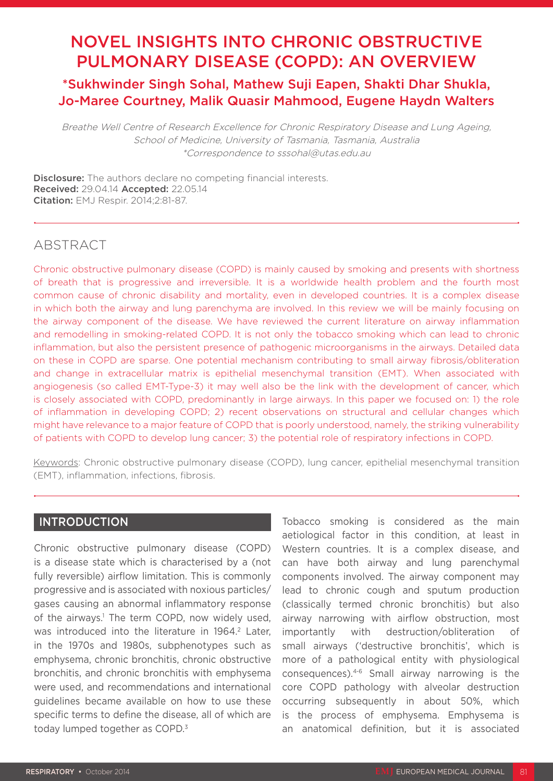# NOVEL INSIGHTS INTO CHRONIC OBSTRUCTIVE PULMONARY DISEASE (COPD): AN OVERVIEW

## \*Sukhwinder Singh Sohal, Mathew Suji Eapen, Shakti Dhar Shukla, Jo-Maree Courtney, Malik Quasir Mahmood, Eugene Haydn Walters

Breathe Well Centre of Research Excellence for Chronic Respiratory Disease and Lung Ageing, School of Medicine, University of Tasmania, Tasmania, Australia \*Correspondence to sssohal@utas.edu.au

**Disclosure:** The authors declare no competing financial interests. Received: 29.04.14 Accepted: 22.05.14 Citation: EMJ Respir. 2014;2:81-87.

### ABSTRACT

Chronic obstructive pulmonary disease (COPD) is mainly caused by smoking and presents with shortness of breath that is progressive and irreversible. It is a worldwide health problem and the fourth most common cause of chronic disability and mortality, even in developed countries. It is a complex disease in which both the airway and lung parenchyma are involved. In this review we will be mainly focusing on the airway component of the disease. We have reviewed the current literature on airway inflammation and remodelling in smoking-related COPD. It is not only the tobacco smoking which can lead to chronic inflammation, but also the persistent presence of pathogenic microorganisms in the airways. Detailed data on these in COPD are sparse. One potential mechanism contributing to small airway fibrosis/obliteration and change in extracellular matrix is epithelial mesenchymal transition (EMT). When associated with angiogenesis (so called EMT-Type-3) it may well also be the link with the development of cancer, which is closely associated with COPD, predominantly in large airways. In this paper we focused on: 1) the role of inflammation in developing COPD; 2) recent observations on structural and cellular changes which might have relevance to a major feature of COPD that is poorly understood, namely, the striking vulnerability of patients with COPD to develop lung cancer; 3) the potential role of respiratory infections in COPD.

Keywords: Chronic obstructive pulmonary disease (COPD), lung cancer, epithelial mesenchymal transition (EMT), inflammation, infections, fibrosis.

#### INTRODUCTION

Chronic obstructive pulmonary disease (COPD) is a disease state which is characterised by a (not fully reversible) airflow limitation. This is commonly progressive and is associated with noxious particles/ gases causing an abnormal inflammatory response of the airways.<sup>1</sup> The term COPD, now widely used, was introduced into the literature in 1964.<sup>2</sup> Later, in the 1970s and 1980s, subphenotypes such as emphysema, chronic bronchitis, chronic obstructive bronchitis, and chronic bronchitis with emphysema were used, and recommendations and international guidelines became available on how to use these specific terms to define the disease, all of which are today lumped together as COPD.<sup>3</sup>

Tobacco smoking is considered as the main aetiological factor in this condition, at least in Western countries. It is a complex disease, and can have both airway and lung parenchymal components involved. The airway component may lead to chronic cough and sputum production (classically termed chronic bronchitis) but also airway narrowing with airflow obstruction, most importantly with destruction/obliteration of small airways ('destructive bronchitis', which is more of a pathological entity with physiological consequences).4-6 Small airway narrowing is the core COPD pathology with alveolar destruction occurring subsequently in about 50%, which is the process of emphysema. Emphysema is an anatomical definition, but it is associated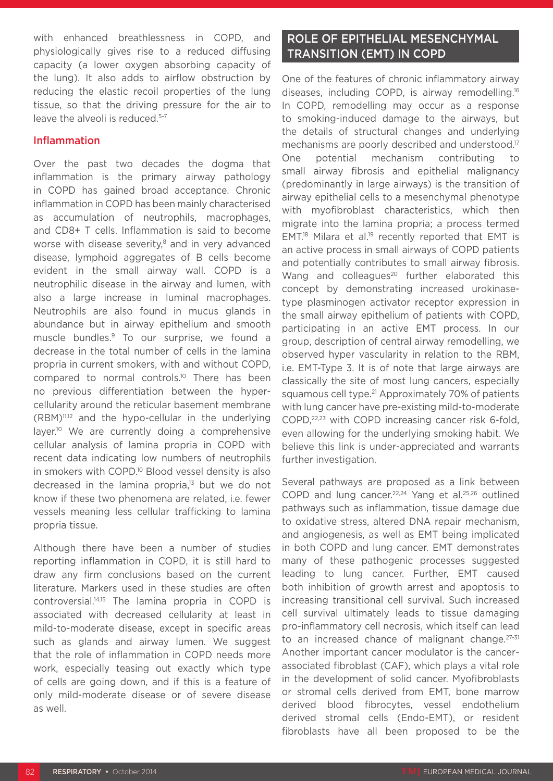with enhanced breathlessness in COPD, and physiologically gives rise to a reduced diffusing capacity (a lower oxygen absorbing capacity of the lung). It also adds to airflow obstruction by reducing the elastic recoil properties of the lung tissue, so that the driving pressure for the air to leave the alveoli is reduced.5-7

#### Inflammation

Over the past two decades the dogma that inflammation is the primary airway pathology in COPD has gained broad acceptance. Chronic inflammation in COPD has been mainly characterised as accumulation of neutrophils, macrophages, and CD8+ T cells. Inflammation is said to become worse with disease severity,<sup>8</sup> and in very advanced disease, lymphoid aggregates of B cells become evident in the small airway wall. COPD is a neutrophilic disease in the airway and lumen, with also a large increase in luminal macrophages. Neutrophils are also found in mucus glands in abundance but in airway epithelium and smooth muscle bundles.9 To our surprise, we found a decrease in the total number of cells in the lamina propria in current smokers, with and without COPD, compared to normal controls.10 There has been no previous differentiation between the hypercellularity around the reticular basement membrane (RBM)11,12 and the hypo-cellular in the underlying layer.<sup>10</sup> We are currently doing a comprehensive cellular analysis of lamina propria in COPD with recent data indicating low numbers of neutrophils in smokers with COPD.<sup>10</sup> Blood vessel density is also decreased in the lamina propria.<sup>13</sup> but we do not know if these two phenomena are related, i.e. fewer vessels meaning less cellular trafficking to lamina propria tissue.

Although there have been a number of studies reporting inflammation in COPD, it is still hard to draw any firm conclusions based on the current literature. Markers used in these studies are often controversial.14,15 The lamina propria in COPD is associated with decreased cellularity at least in mild-to-moderate disease, except in specific areas such as glands and airway lumen. We suggest that the role of inflammation in COPD needs more work, especially teasing out exactly which type of cells are going down, and if this is a feature of only mild-moderate disease or of severe disease as well.

### ROLE OF EPITHELIAL MESENCHYMAL TRANSITION (EMT) IN COPD

One of the features of chronic inflammatory airway diseases, including COPD, is airway remodelling.16 In COPD, remodelling may occur as a response to smoking-induced damage to the airways, but the details of structural changes and underlying mechanisms are poorly described and understood.<sup>17</sup> One potential mechanism contributing to small airway fibrosis and epithelial malignancy (predominantly in large airways) is the transition of airway epithelial cells to a mesenchymal phenotype with myofibroblast characteristics, which then migrate into the lamina propria; a process termed EMT.<sup>18</sup> Milara et al.<sup>19</sup> recently reported that EMT is an active process in small airways of COPD patients and potentially contributes to small airway fibrosis. Wang and colleagues<sup>20</sup> further elaborated this concept by demonstrating increased urokinasetype plasminogen activator receptor expression in the small airway epithelium of patients with COPD, participating in an active EMT process. In our group, description of central airway remodelling, we observed hyper vascularity in relation to the RBM, i.e. EMT-Type 3. It is of note that large airways are classically the site of most lung cancers, especially squamous cell type.<sup>21</sup> Approximately 70% of patients with lung cancer have pre-existing mild-to-moderate COPD,22,23 with COPD increasing cancer risk 6-fold, even allowing for the underlying smoking habit. We believe this link is under-appreciated and warrants further investigation.

Several pathways are proposed as a link between COPD and lung cancer.<sup>22,24</sup> Yang et al.<sup>25,26</sup> outlined pathways such as inflammation, tissue damage due to oxidative stress, altered DNA repair mechanism, and angiogenesis, as well as EMT being implicated in both COPD and lung cancer. EMT demonstrates many of these pathogenic processes suggested leading to lung cancer. Further, EMT caused both inhibition of growth arrest and apoptosis to increasing transitional cell survival. Such increased cell survival ultimately leads to tissue damaging pro-inflammatory cell necrosis, which itself can lead to an increased chance of malignant change.<sup>27-31</sup> Another important cancer modulator is the cancerassociated fibroblast (CAF), which plays a vital role in the development of solid cancer. Myofibroblasts or stromal cells derived from EMT, bone marrow derived blood fibrocytes, vessel endothelium derived stromal cells (Endo-EMT), or resident fibroblasts have all been proposed to be the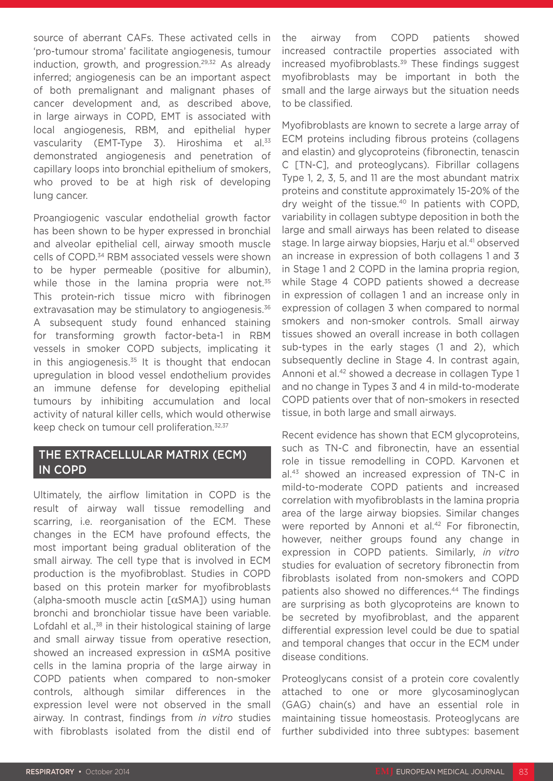source of aberrant CAFs. These activated cells in 'pro-tumour stroma' facilitate angiogenesis, tumour induction, growth, and progression.<sup>29,32</sup> As already inferred; angiogenesis can be an important aspect of both premalignant and malignant phases of cancer development and, as described above, in large airways in COPD, EMT is associated with local angiogenesis, RBM, and epithelial hyper vascularity (EMT-Type 3). Hiroshima et al.<sup>33</sup> demonstrated angiogenesis and penetration of capillary loops into bronchial epithelium of smokers, who proved to be at high risk of developing lung cancer.

Proangiogenic vascular endothelial growth factor has been shown to be hyper expressed in bronchial and alveolar epithelial cell, airway smooth muscle cells of COPD.34 RBM associated vessels were shown to be hyper permeable (positive for albumin), while those in the lamina propria were not.<sup>35</sup> This protein-rich tissue micro with fibrinogen extravasation may be stimulatory to angiogenesis.<sup>36</sup> A subsequent study found enhanced staining for transforming growth factor-beta-1 in RBM vessels in smoker COPD subjects, implicating it in this angiogenesis. $35$  It is thought that endocan upregulation in blood vessel endothelium provides an immune defense for developing epithelial tumours by inhibiting accumulation and local activity of natural killer cells, which would otherwise keep check on tumour cell proliferation.<sup>32,37</sup>

### THE EXTRACELLULAR MATRIX (ECM) IN COPD

Ultimately, the airflow limitation in COPD is the result of airway wall tissue remodelling and scarring, i.e. reorganisation of the ECM. These changes in the ECM have profound effects, the most important being gradual obliteration of the small airway. The cell type that is involved in ECM production is the myofibroblast. Studies in COPD based on this protein marker for myofibroblasts (alpha-smooth muscle actin [αSMA]) using human bronchi and bronchiolar tissue have been variable. Lofdahl et al.,<sup>38</sup> in their histological staining of large and small airway tissue from operative resection, showed an increased expression in  $\alpha$ SMA positive cells in the lamina propria of the large airway in COPD patients when compared to non-smoker controls, although similar differences in the expression level were not observed in the small airway. In contrast, findings from *in vitro* studies with fibroblasts isolated from the distil end of the airway from COPD patients showed increased contractile properties associated with increased myofibroblasts.<sup>39</sup> These findings suggest myofibroblasts may be important in both the small and the large airways but the situation needs to be classified.

Myofibroblasts are known to secrete a large array of ECM proteins including fibrous proteins (collagens and elastin) and glycoproteins (fibronectin, tenascin C [TN-C], and proteoglycans). Fibrillar collagens Type 1, 2, 3, 5, and 11 are the most abundant matrix proteins and constitute approximately 15-20% of the dry weight of the tissue.40 In patients with COPD, variability in collagen subtype deposition in both the large and small airways has been related to disease stage. In large airway biopsies, Harju et al.<sup>41</sup> observed an increase in expression of both collagens 1 and 3 in Stage 1 and 2 COPD in the lamina propria region, while Stage 4 COPD patients showed a decrease in expression of collagen 1 and an increase only in expression of collagen 3 when compared to normal smokers and non-smoker controls. Small airway tissues showed an overall increase in both collagen sub-types in the early stages (1 and 2), which subsequently decline in Stage 4. In contrast again, Annoni et al.<sup>42</sup> showed a decrease in collagen Type 1 and no change in Types 3 and 4 in mild-to-moderate COPD patients over that of non-smokers in resected tissue, in both large and small airways.

Recent evidence has shown that ECM glycoproteins, such as TN-C and fibronectin, have an essential role in tissue remodelling in COPD. Karvonen et al.43 showed an increased expression of TN-C in mild-to-moderate COPD patients and increased correlation with myofibroblasts in the lamina propria area of the large airway biopsies. Similar changes were reported by Annoni et al.<sup>42</sup> For fibronectin, however, neither groups found any change in expression in COPD patients. Similarly, *in vitro* studies for evaluation of secretory fibronectin from fibroblasts isolated from non-smokers and COPD patients also showed no differences.<sup>44</sup> The findings are surprising as both glycoproteins are known to be secreted by myofibroblast, and the apparent differential expression level could be due to spatial and temporal changes that occur in the ECM under disease conditions.

Proteoglycans consist of a protein core covalently attached to one or more glycosaminoglycan (GAG) chain(s) and have an essential role in maintaining tissue homeostasis. Proteoglycans are further subdivided into three subtypes: basement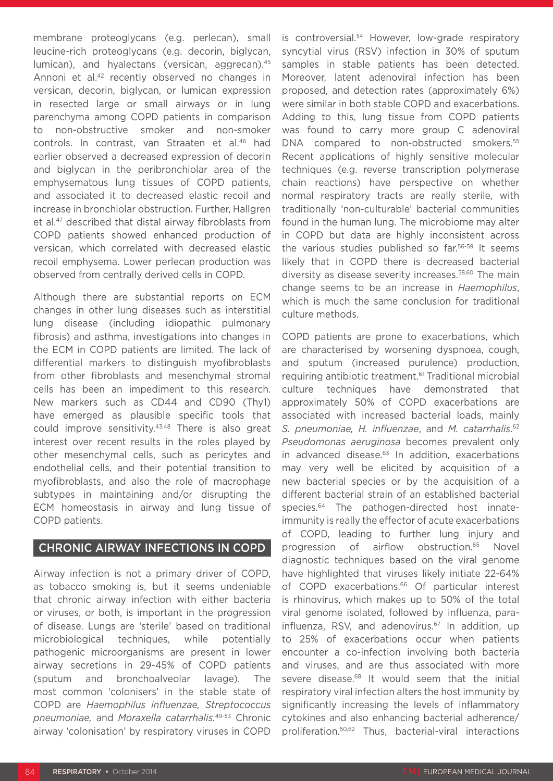membrane proteoglycans (e.g. perlecan), small leucine-rich proteoglycans (e.g. decorin, biglycan, lumican), and hyalectans (versican, aggrecan).<sup>45</sup> Annoni et al.<sup>42</sup> recently observed no changes in versican, decorin, biglycan, or lumican expression in resected large or small airways or in lung parenchyma among COPD patients in comparison to non-obstructive smoker and non-smoker controls. In contrast, van Straaten et al.46 had earlier observed a decreased expression of decorin and biglycan in the peribronchiolar area of the emphysematous lung tissues of COPD patients, and associated it to decreased elastic recoil and increase in bronchiolar obstruction. Further, Hallgren et al.47 described that distal airway fibroblasts from COPD patients showed enhanced production of versican, which correlated with decreased elastic recoil emphysema. Lower perlecan production was observed from centrally derived cells in COPD.

Although there are substantial reports on ECM changes in other lung diseases such as interstitial lung disease (including idiopathic pulmonary fibrosis) and asthma, investigations into changes in the ECM in COPD patients are limited. The lack of differential markers to distinguish myofibroblasts from other fibroblasts and mesenchymal stromal cells has been an impediment to this research. New markers such as CD44 and CD90 (Thy1) have emerged as plausible specific tools that could improve sensitivity.<sup>43,48</sup> There is also great interest over recent results in the roles played by other mesenchymal cells, such as pericytes and endothelial cells, and their potential transition to myofibroblasts, and also the role of macrophage subtypes in maintaining and/or disrupting the ECM homeostasis in airway and lung tissue of COPD patients.

#### CHRONIC AIRWAY INFECTIONS IN COPD

Airway infection is not a primary driver of COPD, as tobacco smoking is, but it seems undeniable that chronic airway infection with either bacteria or viruses, or both, is important in the progression of disease. Lungs are 'sterile' based on traditional microbiological techniques, while potentially pathogenic microorganisms are present in lower airway secretions in 29-45% of COPD patients (sputum and bronchoalveolar lavage). The most common 'colonisers' in the stable state of COPD are *Haemophilus influenzae, Streptococcus pneumoniae,* and *Moraxella catarrhalis.*49-53 Chronic airway 'colonisation' by respiratory viruses in COPD is controversial.<sup>54</sup> However, low-grade respiratory syncytial virus (RSV) infection in 30% of sputum samples in stable patients has been detected. Moreover, latent adenoviral infection has been proposed, and detection rates (approximately 6%) were similar in both stable COPD and exacerbations. Adding to this, lung tissue from COPD patients was found to carry more group C adenoviral DNA compared to non-obstructed smokers.<sup>55</sup> Recent applications of highly sensitive molecular techniques (e.g. reverse transcription polymerase chain reactions) have perspective on whether normal respiratory tracts are really sterile, with traditionally 'non-culturable' bacterial communities found in the human lung. The microbiome may alter in COPD but data are highly inconsistent across the various studies published so far.<sup>56-59</sup> It seems likely that in COPD there is decreased bacterial diversity as disease severity increases.58,60 The main change seems to be an increase in *Haemophilus*, which is much the same conclusion for traditional culture methods.

COPD patients are prone to exacerbations, which are characterised by worsening dyspnoea, cough, and sputum (increased purulence) production, requiring antibiotic treatment.<sup>61</sup> Traditional microbial culture techniques have demonstrated that approximately 50% of COPD exacerbations are associated with increased bacterial loads, mainly *S. pneumoniae, H. influenzae*, and *M. catarrhalis*. 62 *Pseudomonas aeruginosa* becomes prevalent only in advanced disease.<sup>63</sup> In addition, exacerbations may very well be elicited by acquisition of a new bacterial species or by the acquisition of a different bacterial strain of an established bacterial species.<sup>64</sup> The pathogen-directed host innateimmunity is really the effector of acute exacerbations of COPD, leading to further lung injury and progression of airflow obstruction.<sup>65</sup> Novel diagnostic techniques based on the viral genome have highlighted that viruses likely initiate 22-64% of COPD exacerbations.<sup>66</sup> Of particular interest is rhinovirus, which makes up to 50% of the total viral genome isolated, followed by influenza, parainfluenza, RSV, and adenovirus.<sup>67</sup> In addition, up to 25% of exacerbations occur when patients encounter a co-infection involving both bacteria and viruses, and are thus associated with more severe disease.<sup>68</sup> It would seem that the initial respiratory viral infection alters the host immunity by significantly increasing the levels of inflammatory cytokines and also enhancing bacterial adherence/ proliferation.50,62 Thus, bacterial-viral interactions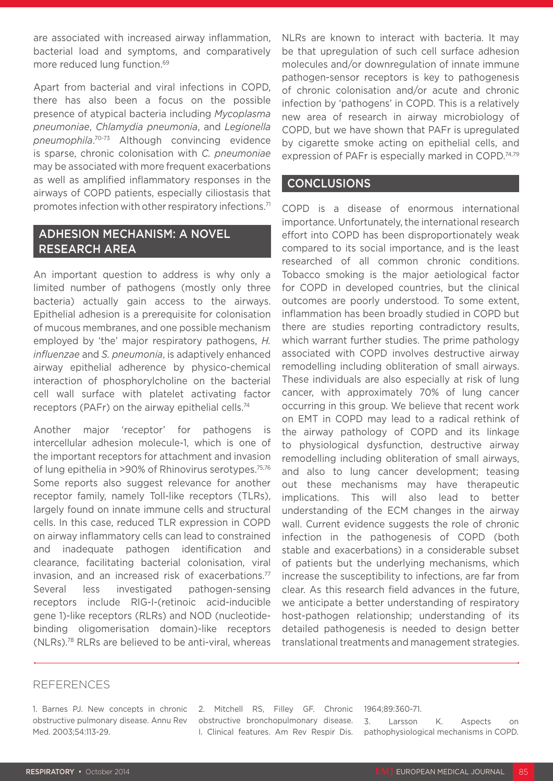are associated with increased airway inflammation, bacterial load and symptoms, and comparatively more reduced lung function.<sup>69</sup>

Apart from bacterial and viral infections in COPD, there has also been a focus on the possible presence of atypical bacteria including *Mycoplasma pneumoniae*, *Chlamydia pneumonia*, and *Legionella pneumophila*. 70-73 Although convincing evidence is sparse, chronic colonisation with *C. pneumoniae* may be associated with more frequent exacerbations as well as amplified inflammatory responses in the airways of COPD patients, especially ciliostasis that promotes infection with other respiratory infections.71

### ADHESION MECHANISM: A NOVEL RESEARCH AREA

An important question to address is why only a limited number of pathogens (mostly only three bacteria) actually gain access to the airways. Epithelial adhesion is a prerequisite for colonisation of mucous membranes, and one possible mechanism employed by 'the' major respiratory pathogens, *H. influenzae* and *S. pneumonia*, is adaptively enhanced airway epithelial adherence by physico-chemical interaction of phosphorylcholine on the bacterial cell wall surface with platelet activating factor receptors (PAFr) on the airway epithelial cells.74

Another major 'receptor' for pathogens is intercellular adhesion molecule-1, which is one of the important receptors for attachment and invasion of lung epithelia in >90% of Rhinovirus serotypes.<sup>75,76</sup> Some reports also suggest relevance for another receptor family, namely Toll-like receptors (TLRs), largely found on innate immune cells and structural cells. In this case, reduced TLR expression in COPD on airway inflammatory cells can lead to constrained and inadequate pathogen identification and clearance, facilitating bacterial colonisation, viral invasion, and an increased risk of exacerbations.<sup>77</sup> Several less investigated pathogen-sensing receptors include RIG-I-(retinoic acid-inducible gene 1)-like receptors (RLRs) and NOD (nucleotidebinding oligomerisation domain)-like receptors (NLRs).78 RLRs are believed to be anti-viral, whereas

NLRs are known to interact with bacteria. It may be that upregulation of such cell surface adhesion molecules and/or downregulation of innate immune pathogen-sensor receptors is key to pathogenesis of chronic colonisation and/or acute and chronic infection by 'pathogens' in COPD. This is a relatively new area of research in airway microbiology of COPD, but we have shown that PAFr is upregulated by cigarette smoke acting on epithelial cells, and expression of PAFr is especially marked in COPD.<sup>74,79</sup>

#### CONCLUSIONS

COPD is a disease of enormous international importance. Unfortunately, the international research effort into COPD has been disproportionately weak compared to its social importance, and is the least researched of all common chronic conditions. Tobacco smoking is the major aetiological factor for COPD in developed countries, but the clinical outcomes are poorly understood. To some extent, inflammation has been broadly studied in COPD but there are studies reporting contradictory results, which warrant further studies. The prime pathology associated with COPD involves destructive airway remodelling including obliteration of small airways. These individuals are also especially at risk of lung cancer, with approximately 70% of lung cancer occurring in this group. We believe that recent work on EMT in COPD may lead to a radical rethink of the airway pathology of COPD and its linkage to physiological dysfunction, destructive airway remodelling including obliteration of small airways, and also to lung cancer development; teasing out these mechanisms may have therapeutic implications. This will also lead to better understanding of the ECM changes in the airway wall. Current evidence suggests the role of chronic infection in the pathogenesis of COPD (both stable and exacerbations) in a considerable subset of patients but the underlying mechanisms, which increase the susceptibility to infections, are far from clear. As this research field advances in the future, we anticipate a better understanding of respiratory host-pathogen relationship; understanding of its detailed pathogenesis is needed to design better translational treatments and management strategies.

#### REFERENCES

2. Mitchell RS, Filley GF. Chronic obstructive bronchopulmonary disease. I. Clinical features. Am Rev Respir Dis.

#### 1964;89:360-71.

3. Larsson K. Aspects on pathophysiological mechanisms in COPD.

<sup>1.</sup> Barnes PJ. New concepts in chronic obstructive pulmonary disease. Annu Rev Med. 2003;54:113-29.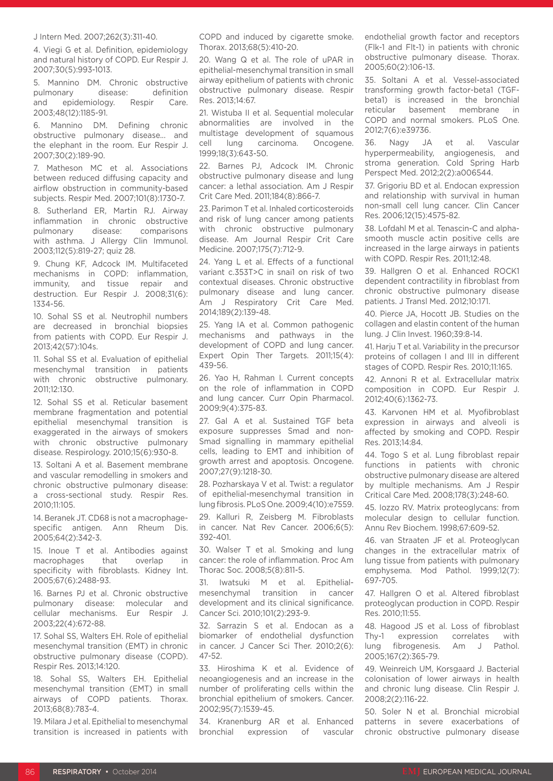J Intern Med. 2007;262(3):311-40.

4. Viegi G et al. Definition, epidemiology and natural history of COPD. Eur Respir J. 2007;30(5):993-1013.

5. Mannino DM. Chronic obstructive pulmonary disease: definition and epidemiology. Respir Care. 2003;48(12):1185-91.

6. Mannino DM. Defining chronic obstructive pulmonary disease... and the elephant in the room. Eur Respir J. 2007;30(2):189-90.

7. Matheson MC et al. Associations between reduced diffusing capacity and airflow obstruction in community-based subjects. Respir Med. 2007;101(8):1730-7.

8. Sutherland ER, Martin RJ. Airway inflammation in chronic obstructive pulmonary disease: comparisons with asthma. J Allergy Clin Immunol. 2003;112(5):819-27; quiz 28.

9. Chung KF, Adcock IM. Multifaceted mechanisms in COPD: inflammation, immunity, and tissue repair and destruction. Eur Respir J. 2008;31(6): 1334-56.

10. Sohal SS et al. Neutrophil numbers are decreased in bronchial biopsies from patients with COPD. Eur Respir J. 2013;42(57):104s.

11. Sohal SS et al. Evaluation of epithelial mesenchymal transition in patients with chronic obstructive pulmonary. 2011;12:130.

12. Sohal SS et al. Reticular basement membrane fragmentation and potential epithelial mesenchymal transition is exaggerated in the airways of smokers with chronic obstructive pulmonary disease. Respirology. 2010;15(6):930-8.

13. Soltani A et al. Basement membrane and vascular remodelling in smokers and chronic obstructive pulmonary disease: a cross-sectional study. Respir Res. 2010;11:105.

14. Beranek JT. CD68 is not a macrophagespecific antigen. Ann Rheum Dis. 2005;64(2):342-3.

15. Inoue T et al. Antibodies against macrophages that overlap in specificity with fibroblasts. Kidney Int. 2005;67(6):2488-93.

16. Barnes PJ et al. Chronic obstructive pulmonary disease: molecular and cellular mechanisms. Eur Respir J. 2003;22(4):672-88.

17. Sohal SS, Walters EH. Role of epithelial mesenchymal transition (EMT) in chronic obstructive pulmonary disease (COPD). Respir Res. 2013;14:120.

18. Sohal SS, Walters EH. Epithelial mesenchymal transition (EMT) in small airways of COPD patients. Thorax. 2013;68(8):783-4.

19. Milara J et al. Epithelial to mesenchymal transition is increased in patients with COPD and induced by cigarette smoke. Thorax. 2013;68(5):410-20.

20. Wang Q et al. The role of uPAR in epithelial-mesenchymal transition in small airway epithelium of patients with chronic obstructive pulmonary disease. Respir Res. 2013;14:67.

21. Wistuba II et al. Sequential molecular abnormalities are involved in the multistage development of squamous cell lung carcinoma. Oncogene. 1999;18(3):643-50.

22. Barnes PJ, Adcock IM. Chronic obstructive pulmonary disease and lung cancer: a lethal association. Am J Respir Crit Care Med. 2011;184(8):866-7.

23. Parimon T et al. Inhaled corticosteroids and risk of lung cancer among patients with chronic obstructive pulmonary disease. Am Journal Respir Crit Care Medicine. 2007;175(7):712-9.

24. Yang L et al. Effects of a functional variant c.353T>C in snai1 on risk of two contextual diseases. Chronic obstructive pulmonary disease and lung cancer. Am J Respiratory Crit Care Med. 2014;189(2):139-48.

25. Yang IA et al. Common pathogenic mechanisms and pathways in the development of COPD and lung cancer. Expert Opin Ther Targets. 2011;15(4): 439-56.

26. Yao H, Rahman I. Current concepts on the role of inflammation in COPD and lung cancer. Curr Opin Pharmacol. 2009;9(4):375-83.

27. Gal A et al. Sustained TGF beta exposure suppresses Smad and non-Smad signalling in mammary epithelial cells, leading to EMT and inhibition of growth arrest and apoptosis. Oncogene. 2007;27(9):1218-30.

28. Pozharskaya V et al. Twist: a regulator of epithelial-mesenchymal transition in lung fibrosis. PLoS One. 2009;4(10):e7559.

29. Kalluri R, Zeisberg M. Fibroblasts in cancer. Nat Rev Cancer. 2006;6(5): 392-401.

30. Walser T et al. Smoking and lung cancer: the role of inflammation. Proc Am Thorac Soc. 2008;5(8):811-5.

31. Iwatsuki M et al. Epithelialmesenchymal transition in cancer development and its clinical significance. Cancer Sci. 2010;101(2):293-9.

32. Sarrazin S et al. Endocan as a biomarker of endothelial dysfunction in cancer. J Cancer Sci Ther. 2010;2(6): 47-52.

33. Hiroshima K et al. Evidence of neoangiogenesis and an increase in the number of proliferating cells within the bronchial epithelium of smokers. Cancer. 2002;95(7):1539-45.

34. Kranenburg AR et al. Enhanced bronchial expression of vascular

endothelial growth factor and receptors (Flk-1 and Flt-1) in patients with chronic obstructive pulmonary disease. Thorax. 2005;60(2):106-13.

35. Soltani A et al. Vessel-associated transforming growth factor-beta1 (TGFbeta1) is increased in the bronchial reticular basement membrane in COPD and normal smokers. PLoS One. 2012;7(6):e39736.

Nagy JA et al. Vascular hyperpermeability, angiogenesis, and stroma generation. Cold Spring Harb Perspect Med. 2012;2(2):a006544.

37. Grigoriu BD et al. Endocan expression and relationship with survival in human non-small cell lung cancer. Clin Cancer Res. 2006;12(15):4575-82.

38. Lofdahl M et al. Tenascin-C and alphasmooth muscle actin positive cells are increased in the large airways in patients with COPD. Respir Res. 2011;12:48.

39. Hallgren O et al. Enhanced ROCK1 dependent contractility in fibroblast from chronic obstructive pulmonary disease patients. J Transl Med. 2012;10:171.

40. Pierce JA, Hocott JB. Studies on the collagen and elastin content of the human lung. J Clin Invest. 1960;39:8-14.

41. Harju T et al. Variability in the precursor proteins of collagen I and III in different stages of COPD. Respir Res. 2010;11:165.

42. Annoni R et al. Extracellular matrix composition in COPD. Eur Respir J. 2012;40(6):1362-73.

43. Karvonen HM et al. Myofibroblast expression in airways and alveoli is affected by smoking and COPD. Respir Res. 2013;14:84.

44. Togo S et al. Lung fibroblast repair functions in patients with chronic obstructive pulmonary disease are altered by multiple mechanisms. Am J Respir Critical Care Med. 2008;178(3):248-60.

45. Iozzo RV. Matrix proteoglycans: from molecular design to cellular function. Annu Rev Biochem. 1998;67:609-52.

46. van Straaten JF et al. Proteoglycan changes in the extracellular matrix of lung tissue from patients with pulmonary emphysema. Mod Pathol. 1999;12(7): 697-705.

47. Hallgren O et al. Altered fibroblast proteoglycan production in COPD. Respir Res. 2010;11:55.

48. Hagood JS et al. Loss of fibroblast Thy-1 expression correlates with lung fibrogenesis. Am J Pathol. 2005;167(2):365-79.

49. Weinreich UM, Korsgaard J. Bacterial colonisation of lower airways in health and chronic lung disease. Clin Respir J. 2008;2(2):116-22.

50. Soler N et al. Bronchial microbial patterns in severe exacerbations of chronic obstructive pulmonary disease